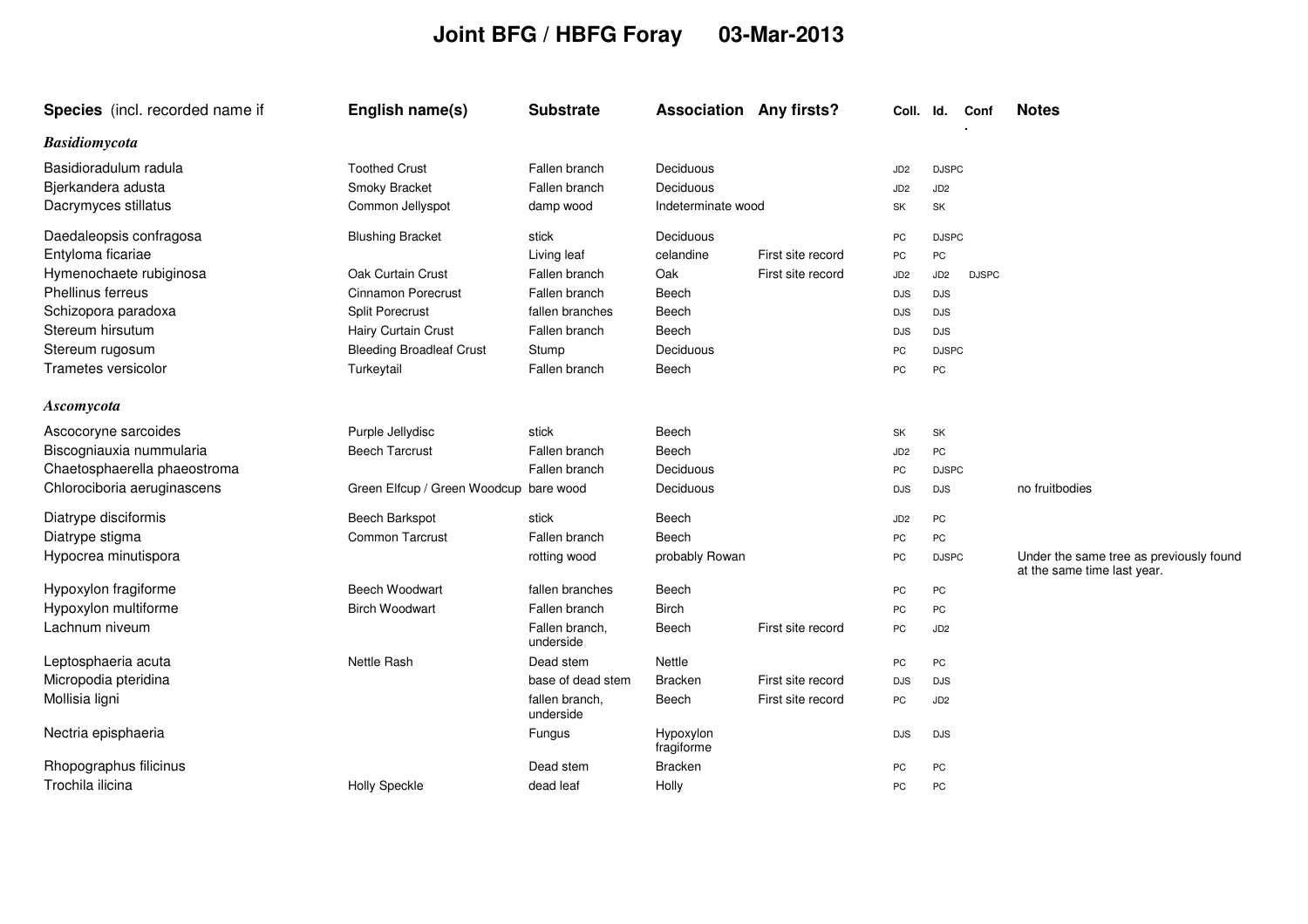## **Joint BFG / HBFG Foray 03-Mar-2013**

| Species (incl. recorded name if | English name(s)                        | <b>Substrate</b>            | <b>Association Any firsts?</b> |                   | Coll. Id.       |                 | Conf         | <b>Notes</b>                                                           |
|---------------------------------|----------------------------------------|-----------------------------|--------------------------------|-------------------|-----------------|-----------------|--------------|------------------------------------------------------------------------|
| <b>Basidiomycota</b>            |                                        |                             |                                |                   |                 |                 |              |                                                                        |
| Basidioradulum radula           | <b>Toothed Crust</b>                   | Fallen branch               | Deciduous                      |                   | JD <sub>2</sub> | <b>DJSPC</b>    |              |                                                                        |
| Bjerkandera adusta              | Smoky Bracket                          | Fallen branch               | Deciduous                      |                   | JD <sub>2</sub> | JD <sub>2</sub> |              |                                                                        |
| Dacrymyces stillatus            | Common Jellyspot                       | damp wood                   | Indeterminate wood             |                   | SK              | SK              |              |                                                                        |
| Daedaleopsis confragosa         | <b>Blushing Bracket</b>                | stick                       | Deciduous                      |                   | PC              | <b>DJSPC</b>    |              |                                                                        |
| Entyloma ficariae               |                                        | Living leaf                 | celandine                      | First site record | PC              | PC              |              |                                                                        |
| Hymenochaete rubiginosa         | Oak Curtain Crust                      | Fallen branch               | Oak                            | First site record | JD <sub>2</sub> | JD <sub>2</sub> | <b>DJSPC</b> |                                                                        |
| Phellinus ferreus               | <b>Cinnamon Porecrust</b>              | Fallen branch               | Beech                          |                   | <b>DJS</b>      | <b>DJS</b>      |              |                                                                        |
| Schizopora paradoxa             | <b>Split Porecrust</b>                 | fallen branches             | Beech                          |                   | <b>DJS</b>      | <b>DJS</b>      |              |                                                                        |
| Stereum hirsutum                | Hairy Curtain Crust                    | Fallen branch               | Beech                          |                   | <b>DJS</b>      | <b>DJS</b>      |              |                                                                        |
| Stereum rugosum                 | <b>Bleeding Broadleaf Crust</b>        | Stump                       | Deciduous                      |                   | PC              | <b>DJSPC</b>    |              |                                                                        |
| Trametes versicolor             | Turkeytail                             | Fallen branch               | Beech                          |                   | PC              | PC              |              |                                                                        |
| Ascomycota                      |                                        |                             |                                |                   |                 |                 |              |                                                                        |
| Ascocoryne sarcoides            | Purple Jellydisc                       | stick                       | Beech                          |                   | SK              | SK              |              |                                                                        |
| Biscogniauxia nummularia        | <b>Beech Tarcrust</b>                  | Fallen branch               | Beech                          |                   | JD <sub>2</sub> | PC              |              |                                                                        |
| Chaetosphaerella phaeostroma    |                                        | Fallen branch               | Deciduous                      |                   | PC              | <b>DJSPC</b>    |              |                                                                        |
| Chlorociboria aeruginascens     | Green Elfcup / Green Woodcup bare wood |                             | Deciduous                      |                   | <b>DJS</b>      | <b>DJS</b>      |              | no fruitbodies                                                         |
| Diatrype disciformis            | <b>Beech Barkspot</b>                  | stick                       | Beech                          |                   | JD <sub>2</sub> | PC              |              |                                                                        |
| Diatrype stigma                 | <b>Common Tarcrust</b>                 | Fallen branch               | Beech                          |                   | PC              | PC              |              |                                                                        |
| Hypocrea minutispora            |                                        | rotting wood                | probably Rowan                 |                   | PC              | <b>DJSPC</b>    |              | Under the same tree as previously found<br>at the same time last year. |
| Hypoxylon fragiforme            | <b>Beech Woodwart</b>                  | fallen branches             | Beech                          |                   | PC              | PC              |              |                                                                        |
| Hypoxylon multiforme            | <b>Birch Woodwart</b>                  | Fallen branch               | <b>Birch</b>                   |                   | PC              | PC              |              |                                                                        |
| Lachnum niveum                  |                                        | Fallen branch,<br>underside | Beech                          | First site record | PC              | JD <sub>2</sub> |              |                                                                        |
| Leptosphaeria acuta             | Nettle Rash                            | Dead stem                   | Nettle                         |                   | PC              | PC              |              |                                                                        |
| Micropodia pteridina            |                                        | base of dead stem           | <b>Bracken</b>                 | First site record | <b>DJS</b>      | <b>DJS</b>      |              |                                                                        |
| Mollisia ligni                  |                                        | fallen branch,<br>underside | Beech                          | First site record | PC              | JD <sub>2</sub> |              |                                                                        |
| Nectria episphaeria             |                                        | Fungus                      | Hypoxylon<br>fragiforme        |                   | <b>DJS</b>      | <b>DJS</b>      |              |                                                                        |
| Rhopographus filicinus          |                                        | Dead stem                   | Bracken                        |                   | PC              | PC              |              |                                                                        |
| Trochila ilicina                | <b>Holly Speckle</b>                   | dead leaf                   | Holly                          |                   | PC              | <b>PC</b>       |              |                                                                        |
|                                 |                                        |                             |                                |                   |                 |                 |              |                                                                        |